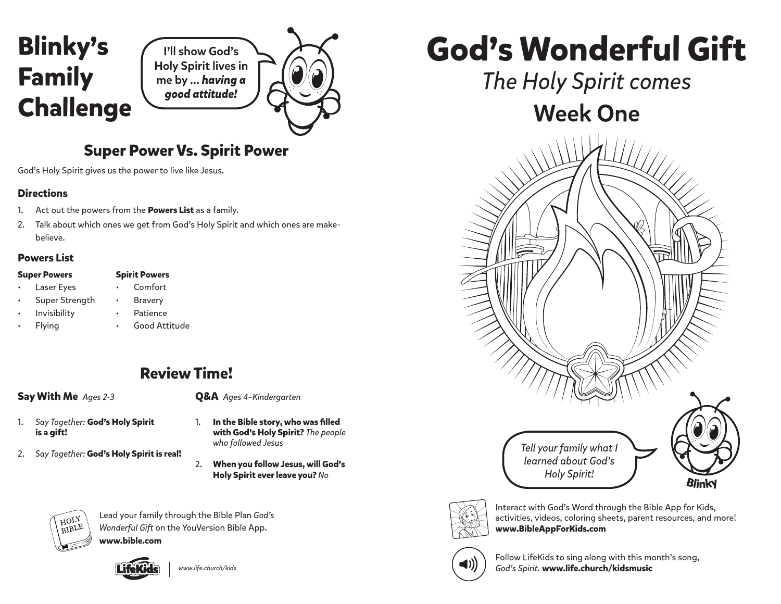

# **Super Power Vs. Spirit Power**

God's Holy Spirit gives us the power to live like Jesus.

#### **Directions**

- 1. Act out the powers from the **Powers List** as a family.
- 2. Talk about which ones we get from God's Holy Spirit and which ones are makebelieve.

## **Powers List**

| <b>Super Powers</b> |  |
|---------------------|--|
|---------------------|--|

- **Spirit Powers** • Comfort
- Laser Eyes
- Super Strength **Bravery** • Patience
- Invisibility
- Flying • Good Attitude

# **Review Time!**

### **Say With Me** *Ages 2-3*

**Q&A** *Ages 4–Kindergarten*

- 1. *Say Together:* **God's Holy Spirit is a gift!**
- 2. *Say Together:* **God's Holy Spirit is real!**
- **with God's Holy Spirit?** *The people who followed Jesus*

1. **In the Bible story, who was filled** 

2. **When you follow Jesus, will God's** 



Lead your family through the Bible Plan *God's Wonderful Gift* on the YouVersion Bible App.

**www.bible.com**



*www.life.church/kids*

**God's Wonderful Gift**

*The Holy Spirit comes* Week One





Interact with God's Word through the Bible App for Kids, activities, videos, coloring sheets, parent resources, and more! **www.BibleAppForKids.com**



Follow LifeKids to sing along with this month's song, *God's Spirit.* **www.life.church/kidsmusic**